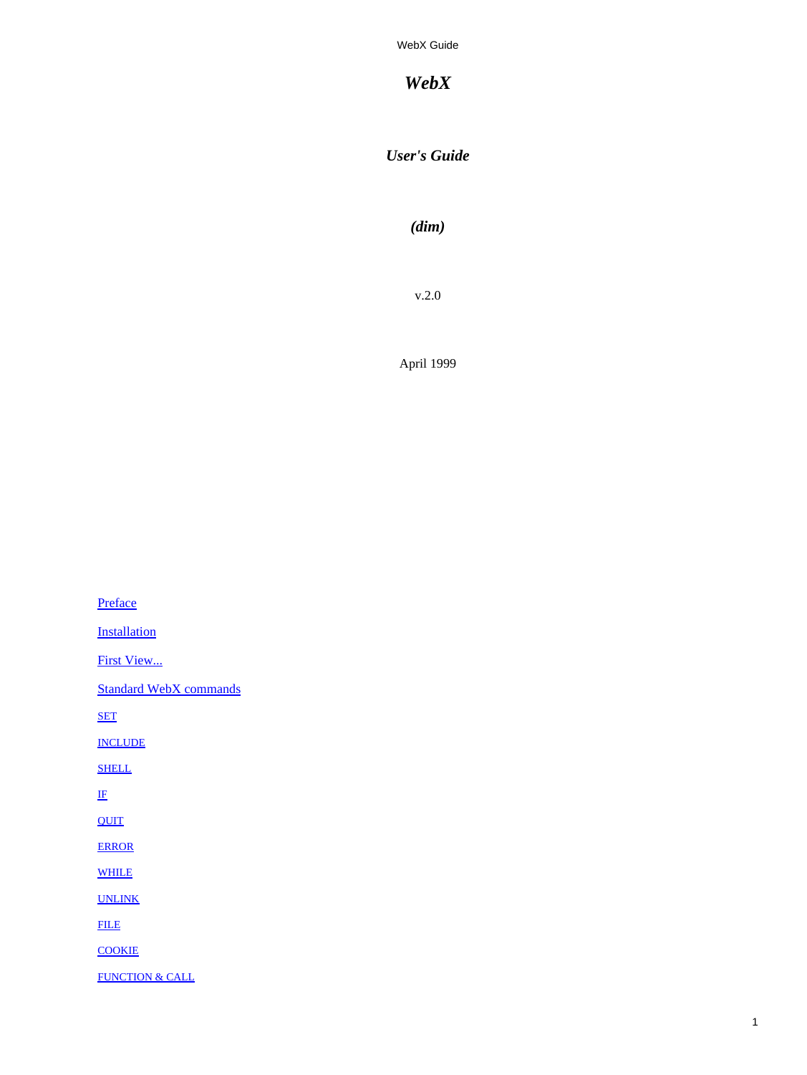*WebX*

*User's Guide*

*(dim)*

v.2.0

April 1999

[Preface](#page-1-0) **[Installation](#page-1-0)** [First View...](#page-2-0) [Standard WebX commands](#page-3-0) [SET](#page-3-0) [INCLUDE](#page-3-0) **[SHELL](#page-3-0)** [IF](#page-4-0) **[QUIT](#page-5-0)** [ERROR](#page-5-0) [WHILE](#page-5-0) [UNLINK](#page-7-0) [FILE](#page-7-0) **[COOKIE](#page-7-0)** [FUNCTION & CALL](#page-8-0)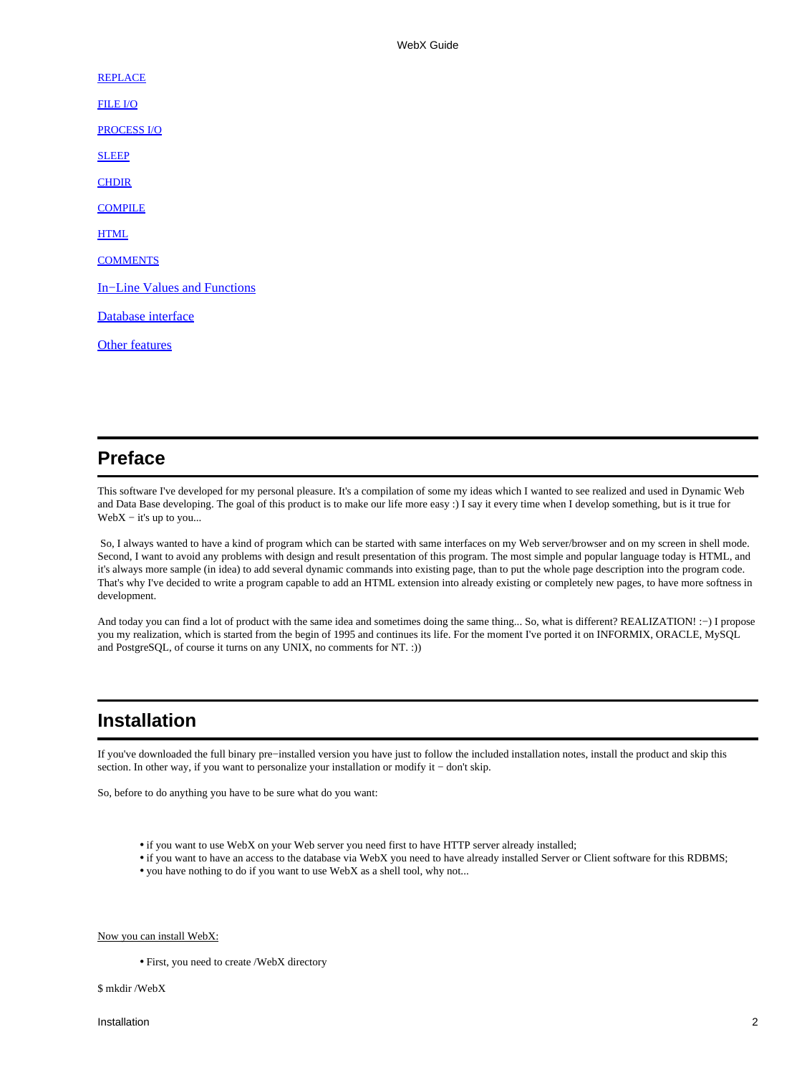<span id="page-1-0"></span>**[REPLACE](#page-9-0)** [FILE I/O](#page-9-0) [PROCESS I/O](#page-10-0) **[SLEEP](#page-10-0) [CHDIR](#page-10-0) [COMPILE](#page-11-0) [HTML](#page-11-0) [COMMENTS](#page-11-0)** [In−Line Values and Functions](#page-12-0) Database interface [Other features](#page-18-0)

# **Preface**

This software I've developed for my personal pleasure. It's a compilation of some my ideas which I wanted to see realized and used in Dynamic Web and Data Base developing. The goal of this product is to make our life more easy :) I say it every time when I develop something, but is it true for  $WebX - it's up to you...$ 

 So, I always wanted to have a kind of program which can be started with same interfaces on my Web server/browser and on my screen in shell mode. Second, I want to avoid any problems with design and result presentation of this program. The most simple and popular language today is HTML, and it's always more sample (in idea) to add several dynamic commands into existing page, than to put the whole page description into the program code. That's why I've decided to write a program capable to add an HTML extension into already existing or completely new pages, to have more softness in development.

And today you can find a lot of product with the same idea and sometimes doing the same thing... So, what is different? REALIZATION! :−) I propose you my realization, which is started from the begin of 1995 and continues its life. For the moment I've ported it on INFORMIX, ORACLE, MySQL and PostgreSQL, of course it turns on any UNIX, no comments for NT. :))

# **Installation**

If you've downloaded the full binary pre−installed version you have just to follow the included installation notes, install the product and skip this section. In other way, if you want to personalize your installation or modify it − don't skip.

So, before to do anything you have to be sure what do you want:

- if you want to use WebX on your Web server you need first to have HTTP server already installed;
- if you want to have an access to the database via WebX you need to have already installed Server or Client software for this RDBMS;
- you have nothing to do if you want to use WebX as a shell tool, why not...

### Now you can install WebX:

• First, you need to create /WebX directory

\$ mkdir /WebX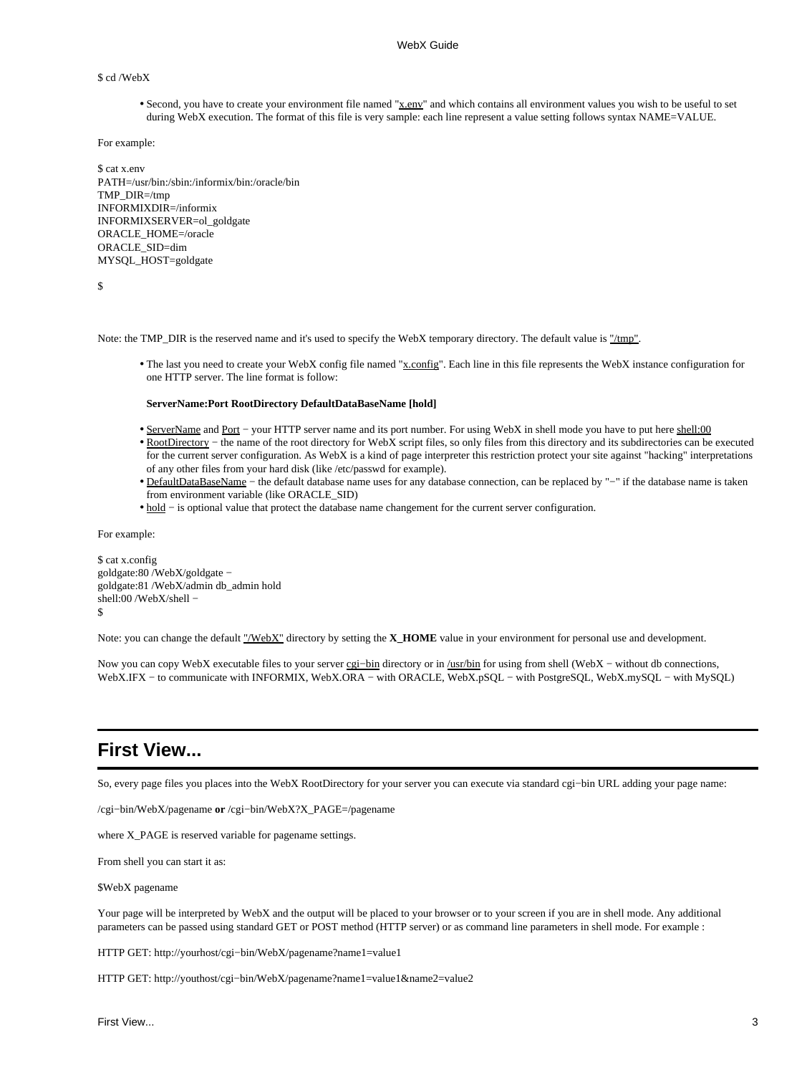#### <span id="page-2-0"></span>\$ cd /WebX

• Second, you have to create your environment file named "x.env" and which contains all environment values you wish to be useful to set during WebX execution. The format of this file is very sample: each line represent a value setting follows syntax NAME=VALUE.

For example:

\$ cat x.env PATH=/usr/bin:/sbin:/informix/bin:/oracle/bin TMP\_DIR=/tmp INFORMIXDIR=/informix INFORMIXSERVER=ol\_goldgate ORACLE\_HOME=/oracle ORACLE\_SID=dim MYSQL\_HOST=goldgate

\$

Note: the TMP\_DIR is the reserved name and it's used to specify the WebX temporary directory. The default value is "/tmp".

• The last you need to create your WebX config file named "x.config". Each line in this file represents the WebX instance configuration for one HTTP server. The line format is follow:

#### **ServerName:Port RootDirectory DefaultDataBaseName [hold]**

- ServerName and Port − your HTTP server name and its port number. For using WebX in shell mode you have to put here shell:00
- RootDirectory the name of the root directory for WebX script files, so only files from this directory and its subdirectories can be executed for the current server configuration. As WebX is a kind of page interpreter this restriction protect your site against "hacking" interpretations of any other files from your hard disk (like /etc/passwd for example).
- DefaultDataBaseName the default database name uses for any database connection, can be replaced by "-" if the database name is taken from environment variable (like ORACLE\_SID)
- hold − is optional value that protect the database name changement for the current server configuration.

For example:

\$ cat x.config goldgate:80 /WebX/goldgate − goldgate:81 /WebX/admin db\_admin hold shell:00 /WebX/shell -\$

Note: you can change the default "/WebX" directory by setting the **X\_HOME** value in your environment for personal use and development.

Now you can copy WebX executable files to your server cgi-bin directory or in /usr/bin for using from shell (WebX - without db connections, WebX.IFX − to communicate with INFORMIX, WebX.ORA − with ORACLE, WebX.pSQL − with PostgreSQL, WebX.mySQL − with MySQL)

# **First View...**

So, every page files you places into the WebX RootDirectory for your server you can execute via standard cgi−bin URL adding your page name:

/cgi−bin/WebX/pagename **or** /cgi−bin/WebX?X\_PAGE=/pagename

where X\_PAGE is reserved variable for pagename settings.

From shell you can start it as:

#### \$WebX pagename

Your page will be interpreted by WebX and the output will be placed to your browser or to your screen if you are in shell mode. Any additional parameters can be passed using standard GET or POST method (HTTP server) or as command line parameters in shell mode. For example :

HTTP GET: http://yourhost/cgi−bin/WebX/pagename?name1=value1

HTTP GET: http://youthost/cgi−bin/WebX/pagename?name1=value1&name2=value2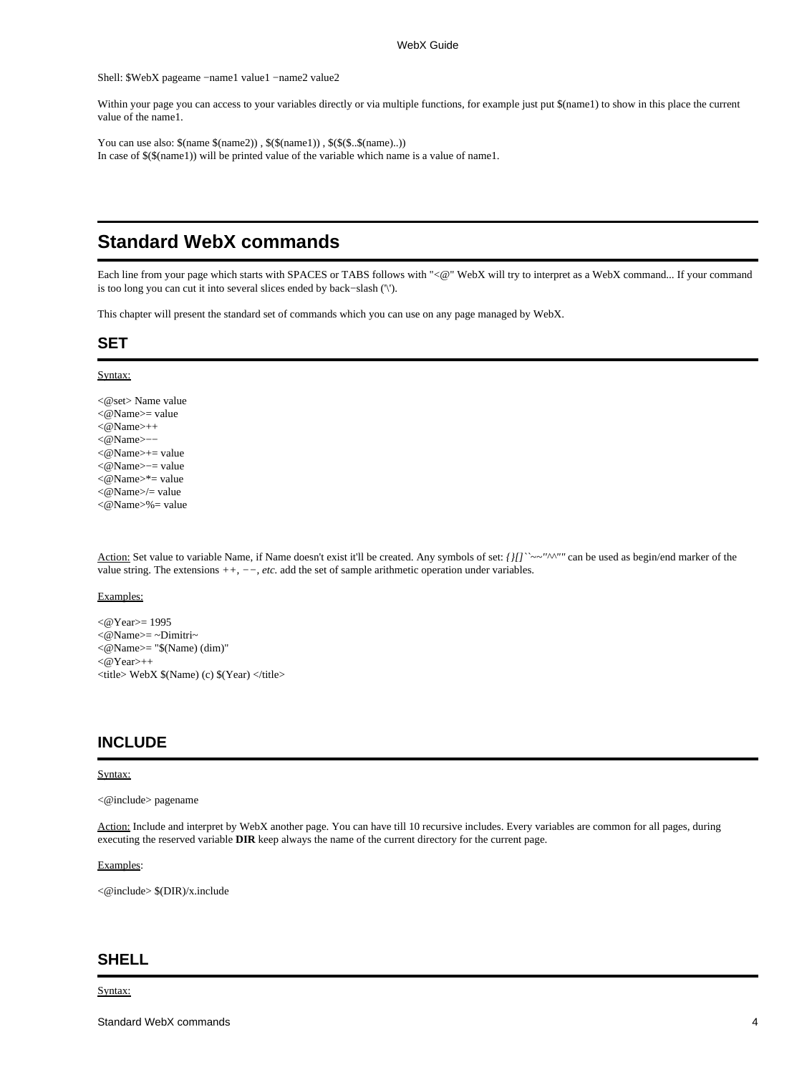<span id="page-3-0"></span>Shell: \$WebX pageame −name1 value1 −name2 value2

Within your page you can access to your variables directly or via multiple functions, for example just put \$(name1) to show in this place the current value of the name1.

You can use also:  $(\text{name2})$ ,  $(\text{name2})$ ,  $(\text{name1})$ ,  $(\text{name3})$ ,  $(\text{name1})$ ) In case of \$(\$(name1)) will be printed value of the variable which name is a value of name1.

# **Standard WebX commands**

Each line from your page which starts with SPACES or TABS follows with "<@" WebX will try to interpret as a WebX command... If your command is too long you can cut it into several slices ended by back−slash ('\').

This chapter will present the standard set of commands which you can use on any page managed by WebX.

# **SET**

#### Syntax:

<@set> Name value <@Name>= value <@Name>++ <@Name>−− <@Name>+= value <@Name>−= value  $\langle \text{@Name}\rangle^*$  = value <@Name>/= value <@Name>%= value

Action: Set value to variable Name, if Name doesn't exist it'll be created. Any symbols of set: *{}[]``~~''^^""* can be used as begin/end marker of the value string. The extensions *++, −−, etc.* add the set of sample arithmetic operation under variables.

#### Examples:

<@Year>= 1995  $\langle \omega \rangle$ Name $\geq$  -  $\sim$ Dimitri $\sim$ <@Name>= "\$(Name) (dim)"  $<$  @Year $>$ ++  $\langle$ title> WebX  $(Name)$  (c)  $(Near)$   $\langle$ title>

# **INCLUDE**

### Syntax:

<@include> pagename

Action: Include and interpret by WebX another page. You can have till 10 recursive includes. Every variables are common for all pages, during executing the reserved variable **DIR** keep always the name of the current directory for the current page.

### Examples:

<@include> \$(DIR)/x.include

## **SHELL**

Syntax: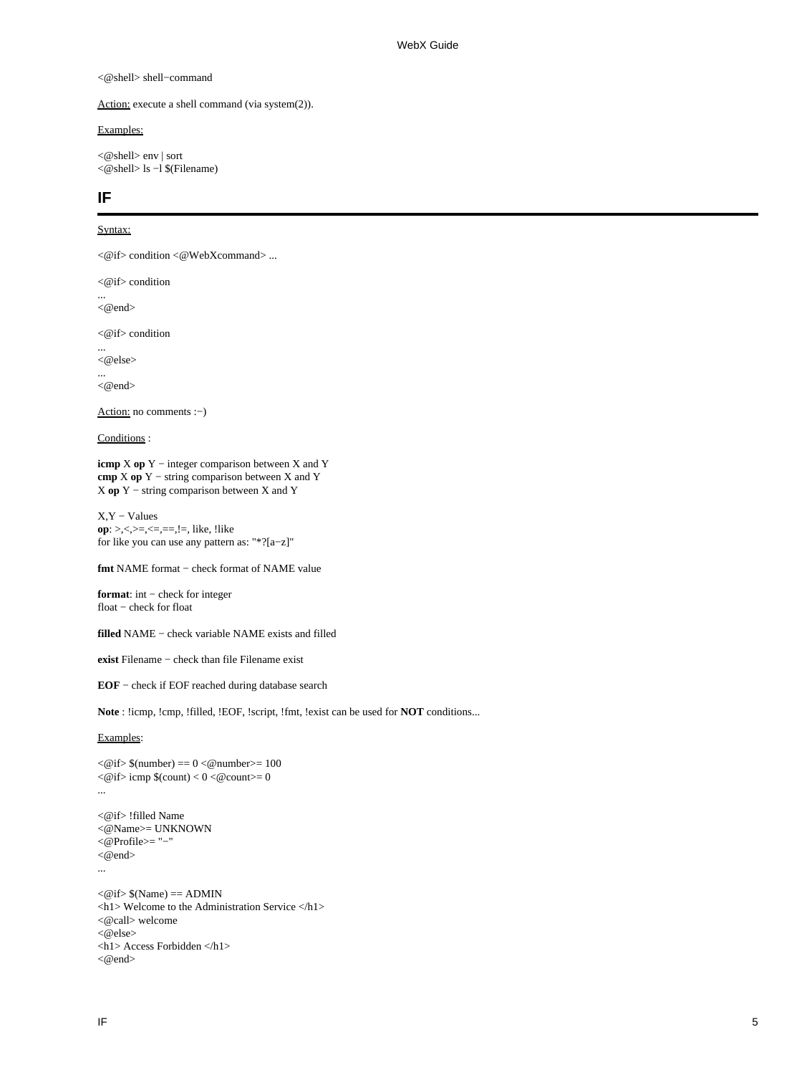#### <span id="page-4-0"></span><@shell> shell−command

Action: execute a shell command (via system(2)).

### Examples:

<@shell> env | sort <@shell> ls −l \$(Filename)

# **IF**

### Syntax:

<@if> condition <@WebXcommand> ...

 $\langle \emptyset \rangle$  if  $\langle$  condition

<@end>

<@if> condition

... <@else>

...

...

<@end>

Action: no comments :−)

Conditions :

**icmp** X **op** Y − integer comparison between X and Y **cmp** X **op** Y − string comparison between X and Y X **op** Y − string comparison between X and Y

X,Y − Values **op**: >,<,>=,<=,==,!=, like, !like for like you can use any pattern as: "\*?[a−z]"

**fmt** NAME format − check format of NAME value

**format**: int − check for integer float − check for float

**filled** NAME − check variable NAME exists and filled

**exist** Filename − check than file Filename exist

**EOF** − check if EOF reached during database search

**Note** : !icmp, !cmp, !filled, !EOF, !script, !fmt, !exist can be used for **NOT** conditions...

Examples:

```
\langle \text{@if}\rangle $(number) == 0 \langle \text{@number}\rangle = 100
<@if>icmp $(count) <0 < @count>=0...
<@if> !filled Name
<@Name>= UNKNOWN
<@Profile>= "−"
<@end>...
<@if>$(Name) == ADMIN<h1> Welcome to the Administration Service </h1>
<@call> welcome
<@else><h1> Access Forbidden </h1>
<@end>
```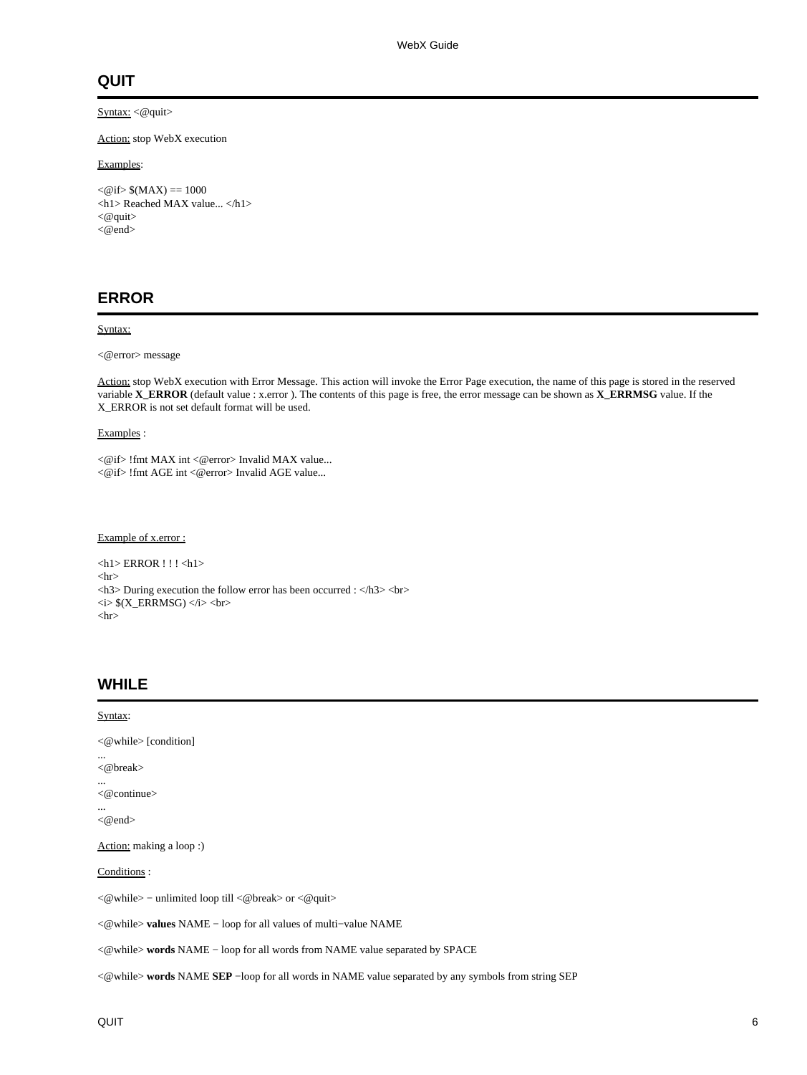# <span id="page-5-0"></span>**QUIT**

# Syntax: <@quit>

Action: stop WebX execution

### Examples:

 $<$  @ if > \$(MAX) = 1000 <h1> Reached MAX value... </h1>  $<@$  quit $>$ <@end>

# **ERROR**

### Syntax:

<@error> message

Action: stop WebX execution with Error Message. This action will invoke the Error Page execution, the name of this page is stored in the reserved variable **X\_ERROR** (default value : x.error ). The contents of this page is free, the error message can be shown as **X\_ERRMSG** value. If the X\_ERROR is not set default format will be used.

Examples :

<@if> !fmt MAX int <@error> Invalid MAX value... <@if> !fmt AGE int <@error> Invalid AGE value...

### Example of x.error :

 $\langle h1\rangle$  ERROR !!! $\langle h1\rangle$  $\langle$ hr> <h3> During execution the follow error has been occurred : </h3> <br> <i> \$(X\_ERRMSG) </i> <br>  $\langle$ hr $>$ 

# **WHILE**

| Syntax:                                                                                                                                           |
|---------------------------------------------------------------------------------------------------------------------------------------------------|
| $\langle$ @while > [condition]                                                                                                                    |
| $\langle \textcircled{b}$ reak $\rangle$                                                                                                          |
| $<@$ continue $>$                                                                                                                                 |
| <@end>                                                                                                                                            |
| Action: making a loop :)                                                                                                                          |
| Conditions:                                                                                                                                       |
| $\langle\mathcal{Q}\rangle$ while $\rangle$ – unlimited loop till $\langle\mathcal{Q}\rangle$ break $\rangle$ or $\langle\mathcal{Q}\rangle$ quit |
| <@while>values NAME - loop for all values of multi-value NAME                                                                                     |
| $\langle$ = $\langle$ while $\rangle$ words NAME – loop for all words from NAME value separated by SPACE                                          |
| $\langle\text{Q}^{\dagger}\rangle$ words NAME SEP -loop for all words in NAME value separated by any symbols from string SEP                      |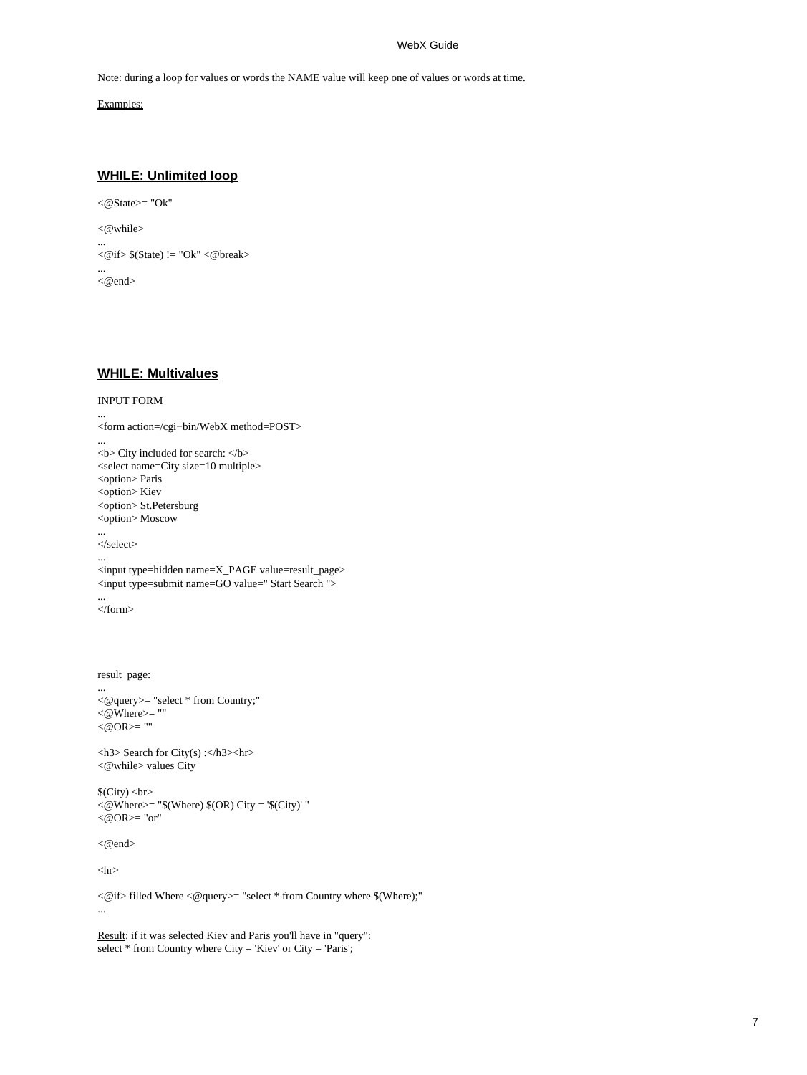Note: during a loop for values or words the NAME value will keep one of values or words at time.

Examples:

## **WHILE: Unlimited loop**

```
<@State>= "Ok"
<@while>
...
\langle\text{@if}\rangle\ $(State) != "Ok" \langle\text{@break}\rangle...
<@end>
```
## **WHILE: Multivalues**

### INPUT FORM

```
...
<form action=/cgi−bin/WebX method=POST>
...
<b> City included for search: </b>
<select name=City size=10 multiple>
<option> Paris
<option> Kiev
<option> St.Petersburg
<option> Moscow
...
</select>
...
<input type=hidden name=X_PAGE value=result_page>
<input type=submit name=GO value=" Start Search ">
...
</form>
result_page:
...
<@query>= "select * from Country;"
<@Where>= ""
<@OR>= ""
<h3> Search for City(s) :</h3><hr>
<@while> values City
$(City) <br>
<@Where>= "$(Where) $(OR) City = '$(City)' "
<@OR>="or"
```
<@end>

 $\langle$ hr $>$ 

<@if> filled Where <@query>= "select \* from Country where \$(Where);" ...

Result: if it was selected Kiev and Paris you'll have in "query": select  $*$  from Country where City = 'Kiev' or City = 'Paris';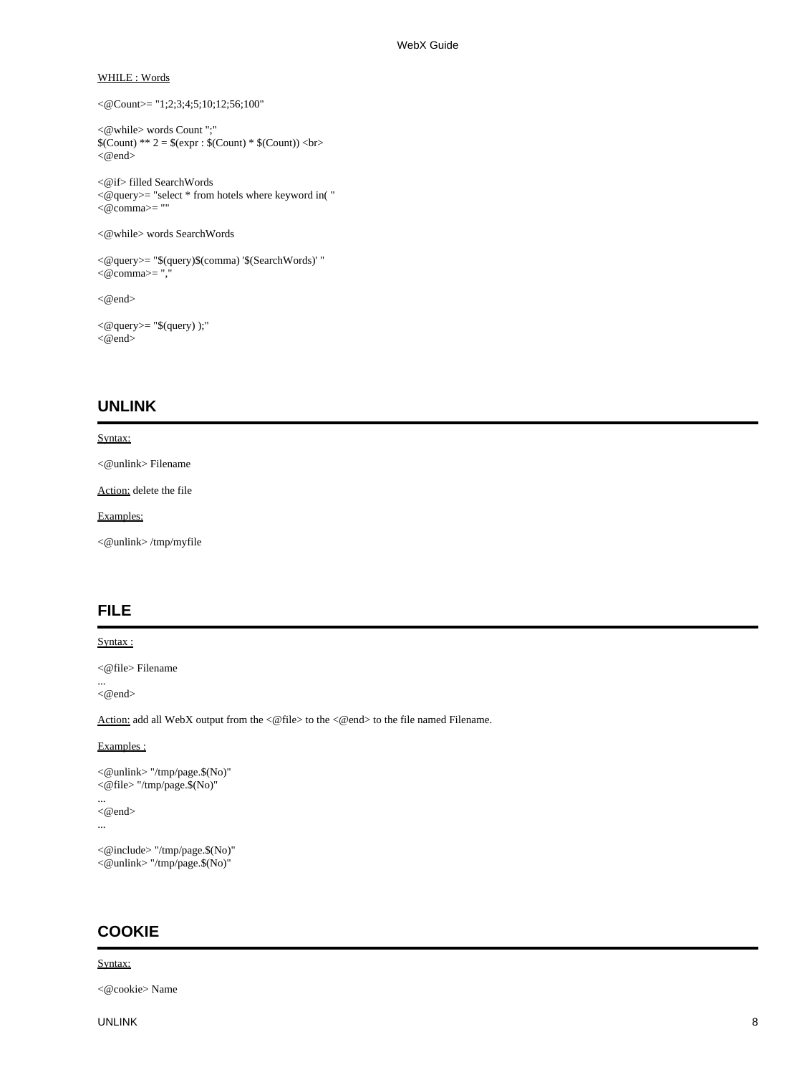### <span id="page-7-0"></span>WHILE : Words

```
<@Count>= "1;2;3;4;5;10;12;56;100"
```

```
<@while> words Count ";"
$(Count) ** 2 = $(expr : $(Count) * $(Count)) < br><\!\!\varnothingend>
```
<@if> filled SearchWords <@query>= "select \* from hotels where keyword in( " <@comma>= ""

```
<@while> words SearchWords
```

```
<@query>= "$(query)$(comma) '$(SearchWords)' "
< @comma>= ",
```
<@end>

```
\langle \textcircled{query} \rangle = \text{``}\$(query) );"
<@end>
```
# **UNLINK**

### Syntax:

<@unlink> Filename

Action: delete the file

Examples:

<@unlink> /tmp/myfile

# **FILE**

### Syntax:

<@file> Filename

 $<@end>$ 

...

Action: add all WebX output from the <@file> to the <@end> to the file named Filename.

### Examples :

```
<@unlink> "/tmp/page.$(No)"
<@file> "/tmp/page.$(No)"
...
<@end>
...
```

```
<@include> "/tmp/page.$(No)"
<@unlink> "/tmp/page.$(No)"
```
# **COOKIE**

### Syntax:

<@cookie> Name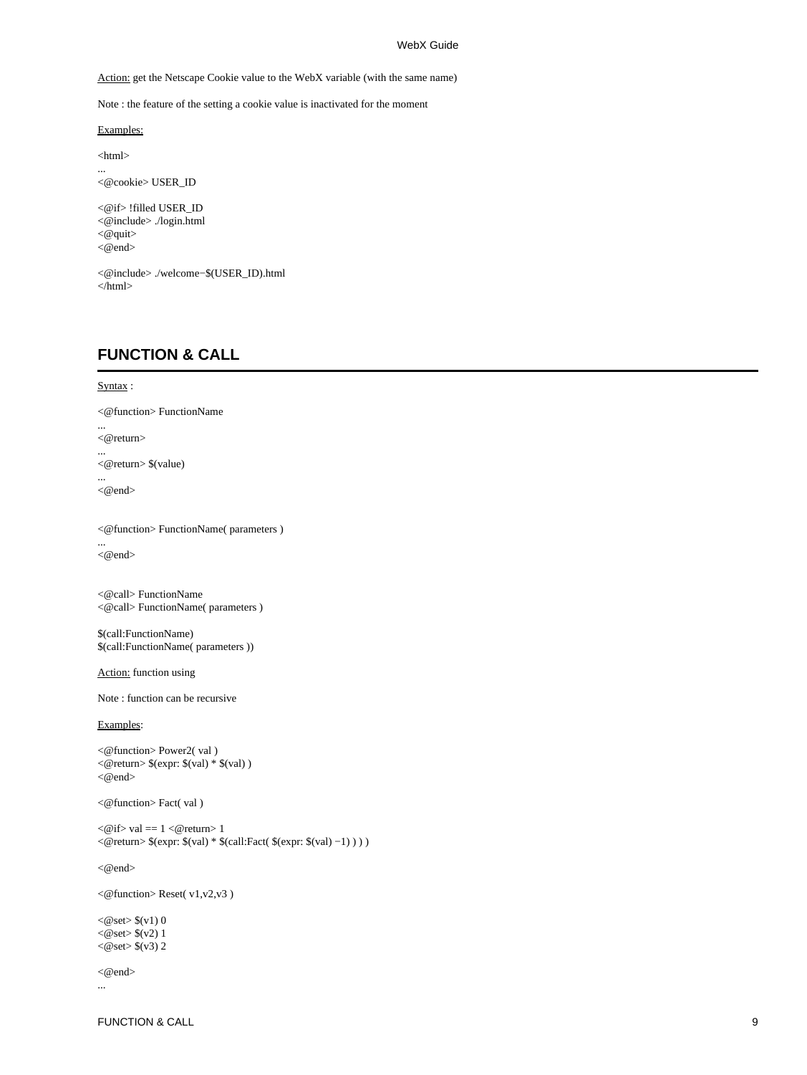<span id="page-8-0"></span>Action: get the Netscape Cookie value to the WebX variable (with the same name)

Note : the feature of the setting a cookie value is inactivated for the moment

Examples:

<html>

... <@cookie> USER\_ID

<@if> !filled USER\_ID <@include> ./login.html <@quit> <@end>

<@include> ./welcome−\$(USER\_ID).html </html>

# **FUNCTION & CALL**

# Syntax:

...

...

...

...

<@function> FunctionName <@return> <@return> \$(value) <@end> <@function> FunctionName( parameters ) <@end> <@call> FunctionName <@call> FunctionName( parameters ) \$(call:FunctionName) \$(call:FunctionName( parameters )) Action: function using Note : function can be recursive Examples: <@function> Power2( val )  $\langle$  @return> \$(expr: \$(val) \* \$(val)) <@end> <@function> Fact( val )  $\langle \text{@if>}$  val = 1  $\langle \text{@return>}$  1 <@return> \$(expr: \$(val) \* \$(call:Fact( \$(expr: \$(val) −1) ) ) ) <@end> <@function> Reset( v1,v2,v3 )  $<$ @set $>$ \$(v1) 0

 $<@set>$(v2)1$  $<$ @set $>$ \$(v3) 2

<@end> ...

FUNCTION & CALL 9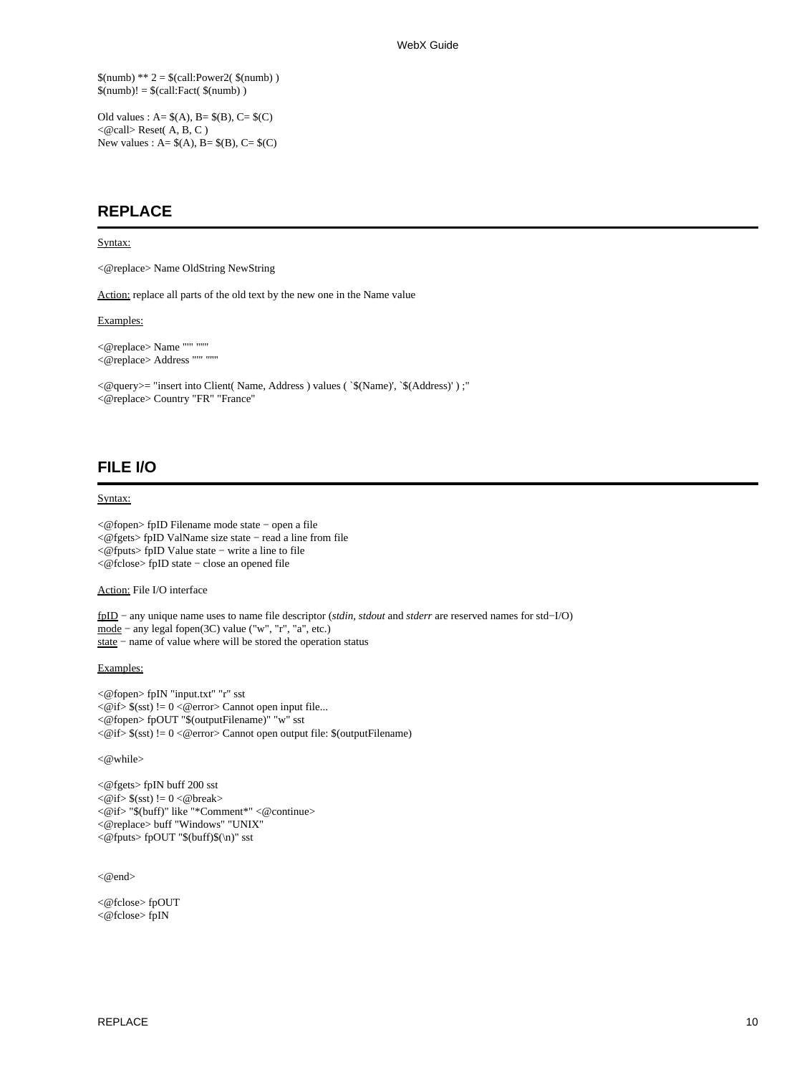<span id="page-9-0"></span> $$(numb) ** 2 = $(call:Power2( $$(numb)$ ))$  $$(number)! = $(call:Fact( $(number)) )$ 

Old values :  $A = $(A), B = $(B), C = $(C)$$  $\langle$  @call>Reset(A, B, C) New values :  $A = \$(A), B = \$(B), C = \$(C)$ 

# **REPLACE**

#### Syntax:

<@replace> Name OldString NewString

Action: replace all parts of the old text by the new one in the Name value

### Examples:

```
<@replace> Name "'" "''"
<@replace> Address "'" "''"
```
<@query>= "insert into Client( Name, Address ) values ( `\$(Name)', `\$(Address)' ) ;" <@replace> Country "FR" "France"

# **FILE I/O**

### Syntax:

<@fopen> fpID Filename mode state − open a file <@fgets> fpID ValName size state − read a line from file <@fputs> fpID Value state − write a line to file <@fclose> fpID state − close an opened file

Action: File I/O interface

fpID − any unique name uses to name file descriptor (*stdin*, *stdout* and *stderr* are reserved names for std−I/O) mode − any legal fopen(3C) value ("w", "r", "a", etc.) state − name of value where will be stored the operation status

Examples:

<@fopen> fpIN "input.txt" "r" sst <@if> \$(sst) != 0 <@error> Cannot open input file... <@fopen> fpOUT "\$(outputFilename)" "w" sst <@if> \$(sst) != 0 <@error> Cannot open output file: \$(outputFilename)

<@while>

<@fgets> fpIN buff 200 sst  $\langle \text{@if}\rangle \$  (sst) != 0  $\langle \text{@break}\rangle$ <@if> "\$(buff)" like "\*Comment\*" <@continue> <@replace> buff "Windows" "UNIX" <@fputs> fpOUT "\$(buff)\$(\n)" sst

<@end>

<@fclose> fpOUT <@fclose> fpIN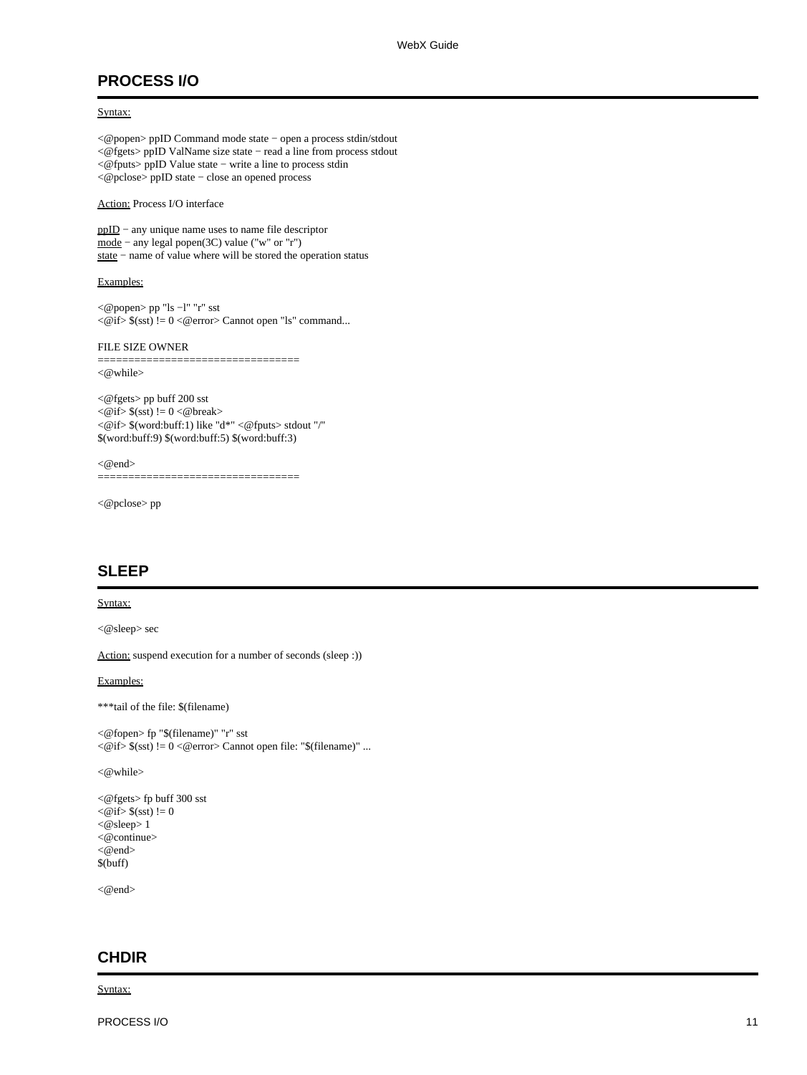# <span id="page-10-0"></span>**PROCESS I/O**

## Syntax:

<@popen> ppID Command mode state − open a process stdin/stdout <@fgets> ppID ValName size state − read a line from process stdout <@fputs> ppID Value state − write a line to process stdin <@pclose> ppID state − close an opened process

Action: Process I/O interface

ppID − any unique name uses to name file descriptor mode − any legal popen(3C) value ("w" or "r") state − name of value where will be stored the operation status

### Examples:

<@popen> pp "ls −l" "r" sst <@if> \$(sst) != 0 <@error> Cannot open "ls" command...

#### FILE SIZE OWNER

=================================

<@while>

<@fgets> pp buff 200 sst  $\langle \text{@if}\rangle \$  (sst) != 0  $\langle \text{@break}\rangle$ <@if> \$(word:buff:1) like "d\*" <@fputs> stdout "/" \$(word:buff:9) \$(word:buff:5) \$(word:buff:3)

 $<@end>$ =====================================

<@pclose> pp

# **SLEEP**

### Syntax:

<@sleep> sec

Action: suspend execution for a number of seconds (sleep :))

### Examples:

\*\*\*tail of the file: \$(filename)

```
<@fopen> fp "$(filename)" "r" sst
<@if> $(sst) != 0 <@error> Cannot open file: "$(filename)" ...
```
<@while>

```
<@fgets> fp buff 300 sst
<\!\!\varnothingif> \mathcal{S}(sst) := 0<@sleep> 1
<@continue>
<@end>
$(buff)
```
<@end>

# **CHDIR**

Syntax: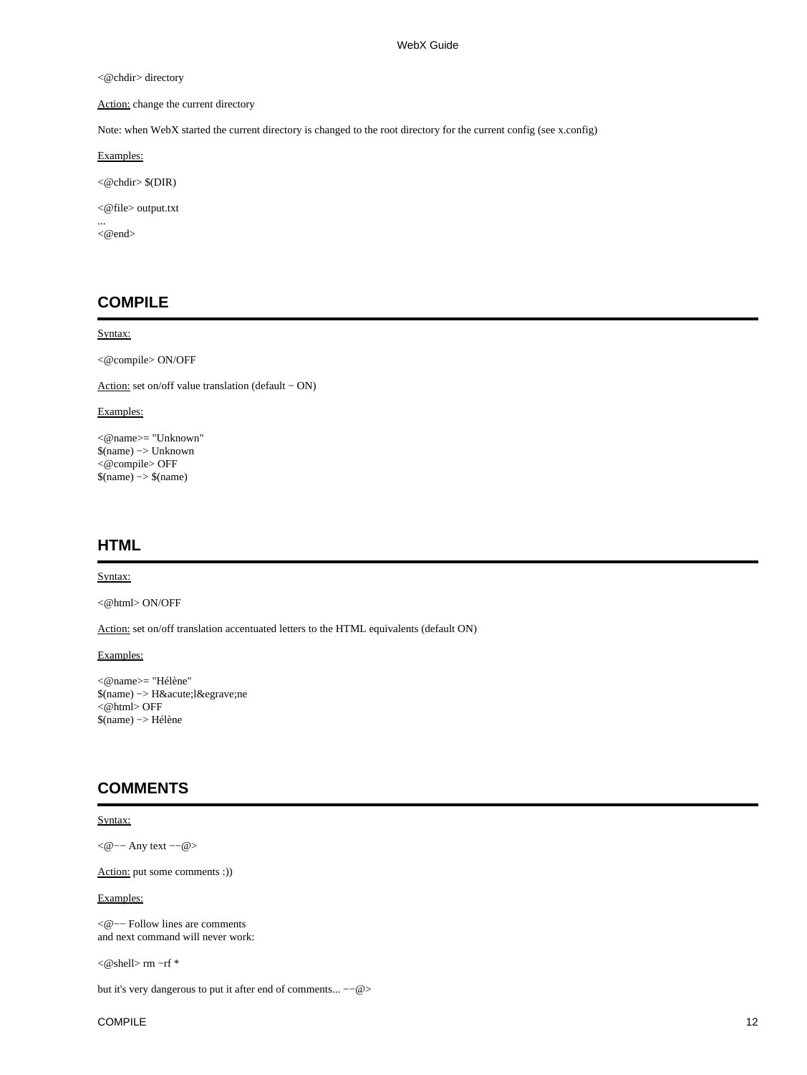### <span id="page-11-0"></span><@chdir> directory

# Action: change the current directory

Note: when WebX started the current directory is changed to the root directory for the current config (see x.config)

Examples:

<@chdir> \$(DIR)

<@file> output.txt

<@end>

...

# **COMPILE**

### Syntax:

<@compile> ON/OFF

Action: set on/off value translation (default − ON)

### Examples:

<@name>= "Unknown" \$(name) −> Unknown <@compile> OFF \$(name) −> \$(name)

# **HTML**

#### Syntax:

<@html> ON/OFF

Action: set on/off translation accentuated letters to the HTML equivalents (default ON)

Examples:

<@name>= "Hélène" \$(name) -> H´lène <@html> OFF \$(name) −> Hélène

# **COMMENTS**

### Syntax:

<@−− Any text −−@>

Action: put some comments :))

### Examples:

<@−− Follow lines are comments and next command will never work:

<@shell> rm −rf \*

but it's very dangerous to put it after end of comments... −−@>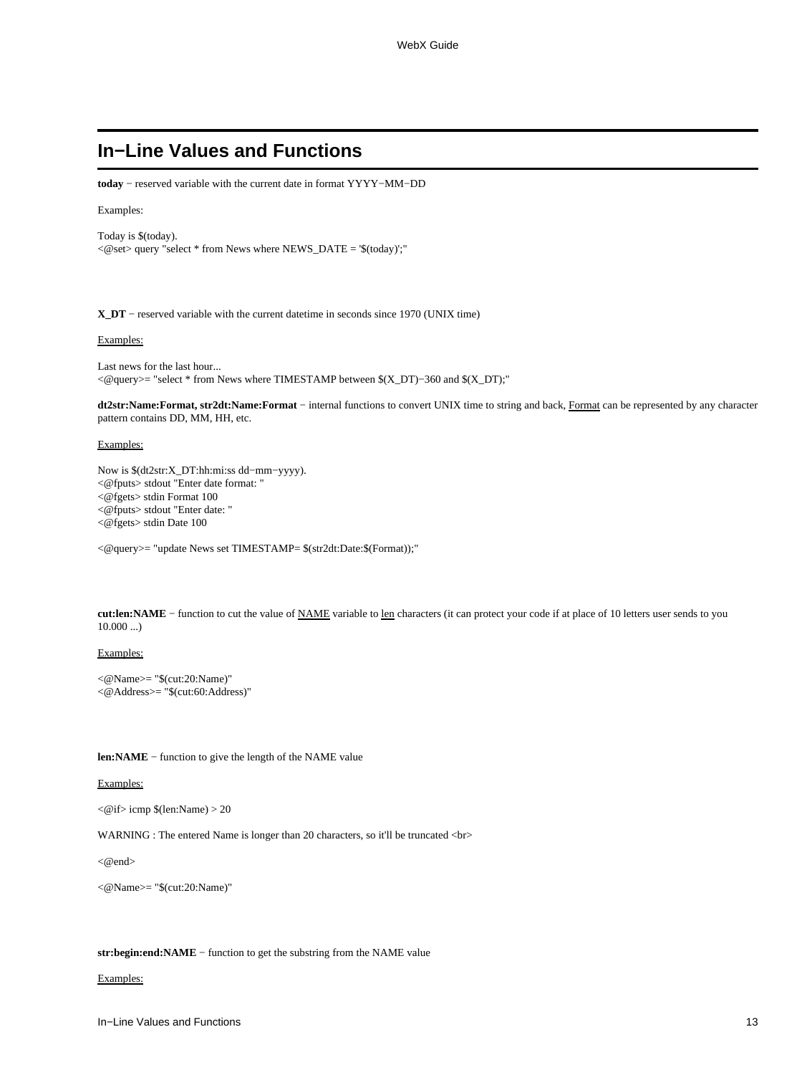# <span id="page-12-0"></span>**In−Line Values and Functions**

**today** − reserved variable with the current date in format YYYY−MM−DD

### Examples:

Today is \$(today).  $<@set>query$  "select  $*$  from News where NEWS\_DATE = '\$(today)';"

**X\_DT** − reserved variable with the current datetime in seconds since 1970 (UNIX time)

#### Examples:

Last news for the last hour... <@query>= "select \* from News where TIMESTAMP between \$(X\_DT)−360 and \$(X\_DT);"

**dt2str:Name:Format, str2dt:Name:Format** − internal functions to convert UNIX time to string and back, Format can be represented by any character pattern contains DD, MM, HH, etc.

#### Examples:

Now is \$(dt2str:X\_DT:hh:mi:ss dd−mm−yyyy). <@fputs> stdout "Enter date format: " <@fgets> stdin Format 100 <@fputs> stdout "Enter date: " <@fgets> stdin Date 100

<@query>= "update News set TIMESTAMP= \$(str2dt:Date:\$(Format));"

**cut:len:NAME** − function to cut the value of NAME variable to len characters (it can protect your code if at place of 10 letters user sends to you  $10.000$  ...)

### Examples:

<@Name>= "\$(cut:20:Name)" <@Address>= "\$(cut:60:Address)"

**len:NAME** − function to give the length of the NAME value

#### Examples:

 $\langle$ @if> icmp \$(len:Name) > 20

WARNING : The entered Name is longer than 20 characters, so it'll be truncated <br>

 $<@end>$ 

<@Name>= "\$(cut:20:Name)"

**str:begin:end:NAME** − function to get the substring from the NAME value

### Examples: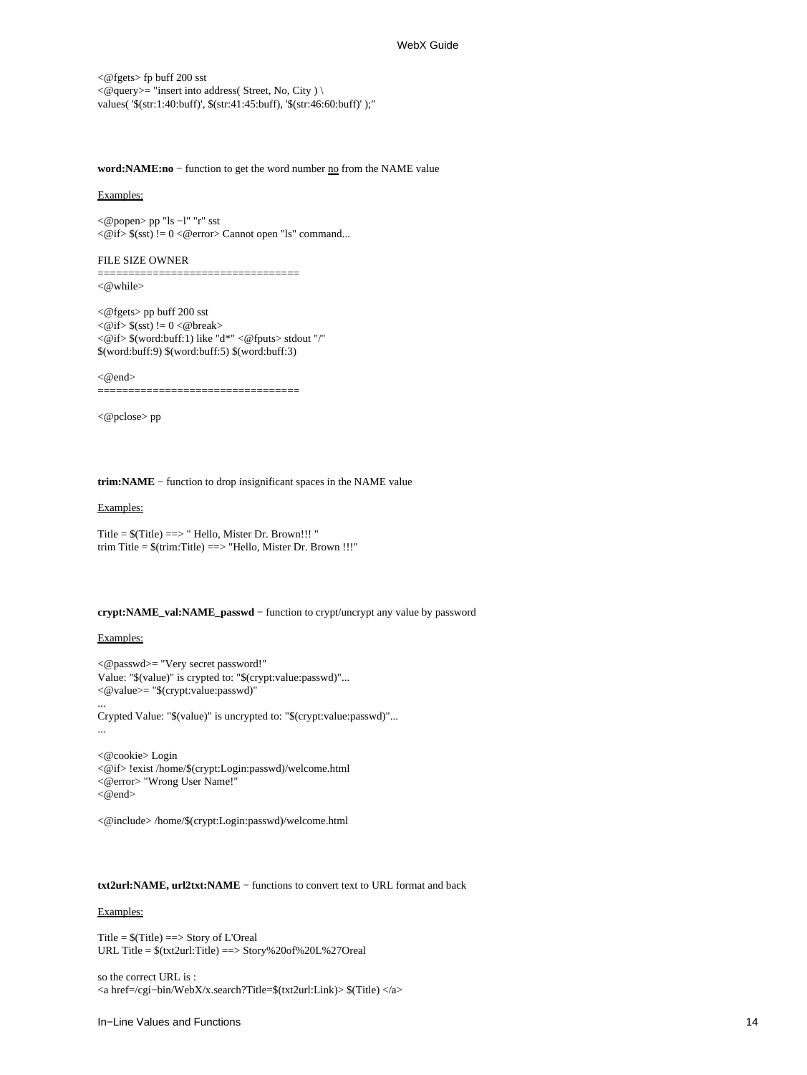<@fgets> fp buff 200 sst  $<\!\!\varnothing\!\!$  query  $>=$  "insert into address<br>( Street, No, City )  $\backslash$ values( '\$(str:1:40:buff)', \$(str:41:45:buff), '\$(str:46:60:buff)' );"

**word:NAME:no** − function to get the word number no from the NAME value

#### Examples:

<@popen> pp "ls −l" "r" sst  $\langle \mathcal{Q}$  if >  $\frac{1}{5}$  (sst) != 0 < @ error > Cannot open "ls" command...

#### FILE SIZE OWNER

=================================

<@while>

<@fgets> pp buff 200 sst  $\langle \text{@if}\rangle \$  (sst) != 0  $\langle \text{@break}\rangle$ <@if> \$(word:buff:1) like "d\*" <@fputs> stdout "/" \$(word:buff:9) \$(word:buff:5) \$(word:buff:3)

 $<@end>$ 

=================================

<@pclose> pp

**trim:NAME** − function to drop insignificant spaces in the NAME value

### Examples:

Title =  $f(Title)$  =  $\geq$  " Hello, Mister Dr. Brown!!! " trim Title = \$(trim:Title) ==> "Hello, Mister Dr. Brown !!!"

### **crypt:NAME\_val:NAME\_passwd** − function to crypt/uncrypt any value by password

### Examples:

...

<@passwd>= "Very secret password!" Value: "\$(value)" is crypted to: "\$(crypt:value:passwd)"... <@value>= "\$(crypt:value:passwd)"

Crypted Value: "\$(value)" is uncrypted to: "\$(crypt:value:passwd)"... ...

<@cookie> Login <@if> !exist /home/\$(crypt:Login:passwd)/welcome.html <@error> "Wrong User Name!" <@end>

<@include> /home/\$(crypt:Login:passwd)/welcome.html

#### **txt2url:NAME, url2txt:NAME** − functions to convert text to URL format and back

#### Examples:

Title = \$(Title) ==> Story of L'Oreal URL Title = \$(txt2url:Title) ==> Story%20of%20L%27Oreal

so the correct URL is : <a href=/cgi−bin/WebX/x.search?Title=\$(txt2url:Link)> \$(Title) </a>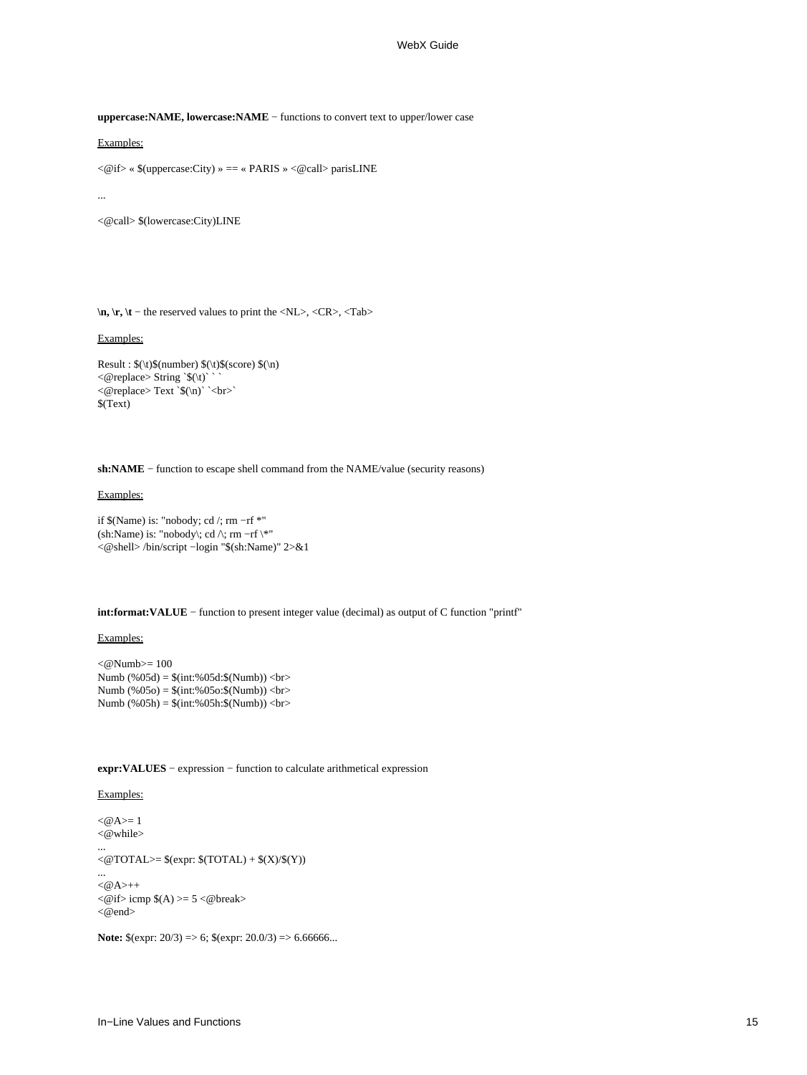**uppercase:NAME, lowercase:NAME** − functions to convert text to upper/lower case

Examples:

<@if> « \$(uppercase:City) » == « PARIS » <@call> parisLINE

...

<@call> \$(lowercase:City)LINE

**\n, \r, \t** − the reserved values to print the <NL>, <CR>, <Tab>

### Examples:

Result : \$(\t)\$(number) \$(\t)\$(score) \$(\n)  $\langle \text{e} \rangle$  string `\$(\t)`  $\langle \text{e} \rangle$  Text \\$\(\n) \cdot \cdot \cdot \cdot \cdot \cdot \cdot \cdot \cdot \cdot \cdot \cdot \cdot \cdot \cdot \cdot \cdot \cdot \cdot \cdot \cdot \cdot \cdot \cdot \cdot \cdot \cdot \cdot \cdot \cdot \cdot \cdot \cdo \$(Text)

**sh:NAME** − function to escape shell command from the NAME/value (security reasons)

### Examples:

if \$(Name) is: "nobody; cd /; rm −rf \*" (sh:Name) is: "nobody\; cd  $\wedge$ ; rm -rf \\*" <@shell> /bin/script −login "\$(sh:Name)" 2>&1

**int:format:VALUE** − function to present integer value (decimal) as output of C function "printf"

### Examples:

 $<@Numb>= 100$ Numb (%05d) = \$(int:%05d:\$(Numb)) <br> Numb (%05o) = \$(int:%05o:\$(Numb)) <br> Numb  $(\$05h) = $(int:\%05h:\$(Numb)) < br>$ 

**expr:VALUES** − expression − function to calculate arithmetical expression

#### Examples:

 $<\,emptyset$ A $>=$ 1  $<@$  while>

...

 $\langle \text{QTOTAL}\rangle = \$(\text{expr}: $(\text{TOTAL}) + $(\text{X})/$(\text{Y})$)$ 

...  $<\!\omega$ A>++  $\langle$  @if > icmp  $\$(A)$  >= 5  $\langle$  @break> <@end>

**Note:** \$(expr: 20/3) => 6; \$(expr: 20.0/3) => 6.66666...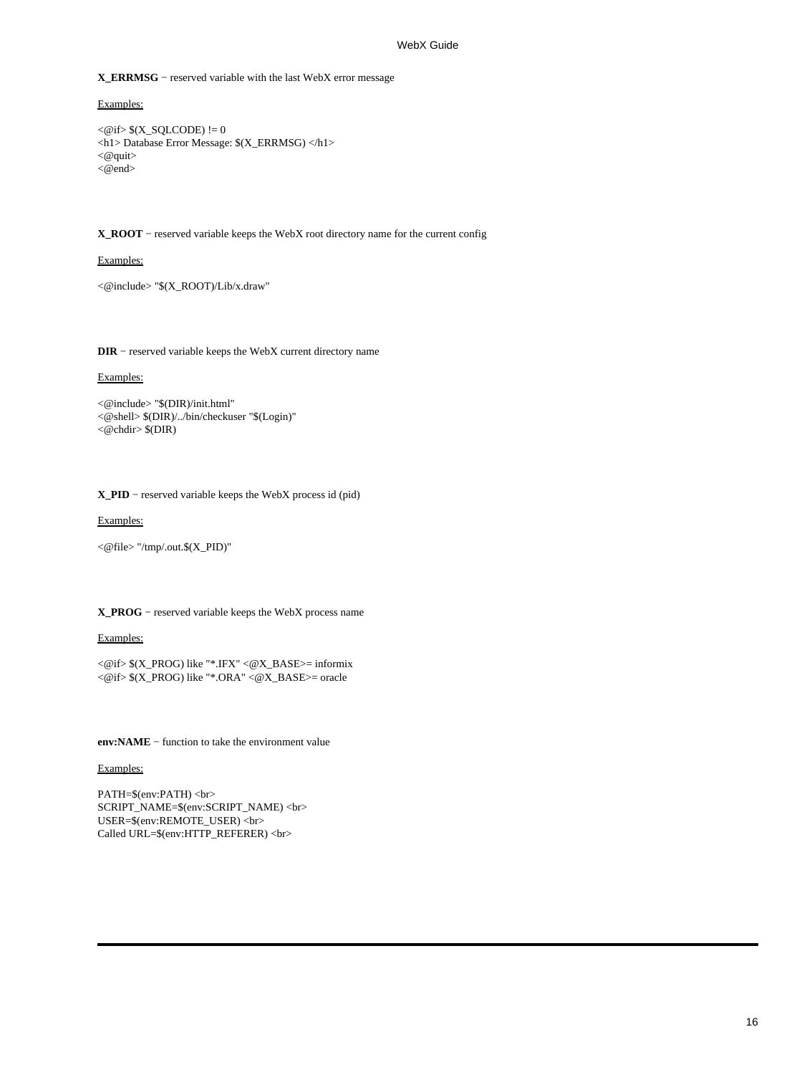**X\_ERRMSG** − reserved variable with the last WebX error message

Examples:

```
\langle \mathcal{Q} if \rangle \(X_SQLCODE) != 0
<h1> Database Error Message: $(X_ERRMSG) </h1>
<@quit>
<@end>
```
**X\_ROOT** − reserved variable keeps the WebX root directory name for the current config

Examples:

<@include> "\$(X\_ROOT)/Lib/x.draw"

**DIR** − reserved variable keeps the WebX current directory name

Examples:

```
<@include> "$(DIR)/init.html"
<@shell> $(DIR)/../bin/checkuser "$(Login)"
<@chdir> $(DIR)
```
**X\_PID** − reserved variable keeps the WebX process id (pid)

Examples:

<@file> "/tmp/.out.\$(X\_PID)"

#### **X\_PROG** − reserved variable keeps the WebX process name

Examples:

<@if> \$(X\_PROG) like "\*.IFX" <@X\_BASE>= informix <@if> \$(X\_PROG) like "\*.ORA" <@X\_BASE>= oracle

**env:NAME** − function to take the environment value

Examples:

PATH=\$(env:PATH) <br> SCRIPT\_NAME=\$(env:SCRIPT\_NAME) <br> USER=\$(env:REMOTE\_USER) <br> Called URL=\$(env:HTTP\_REFERER) <br>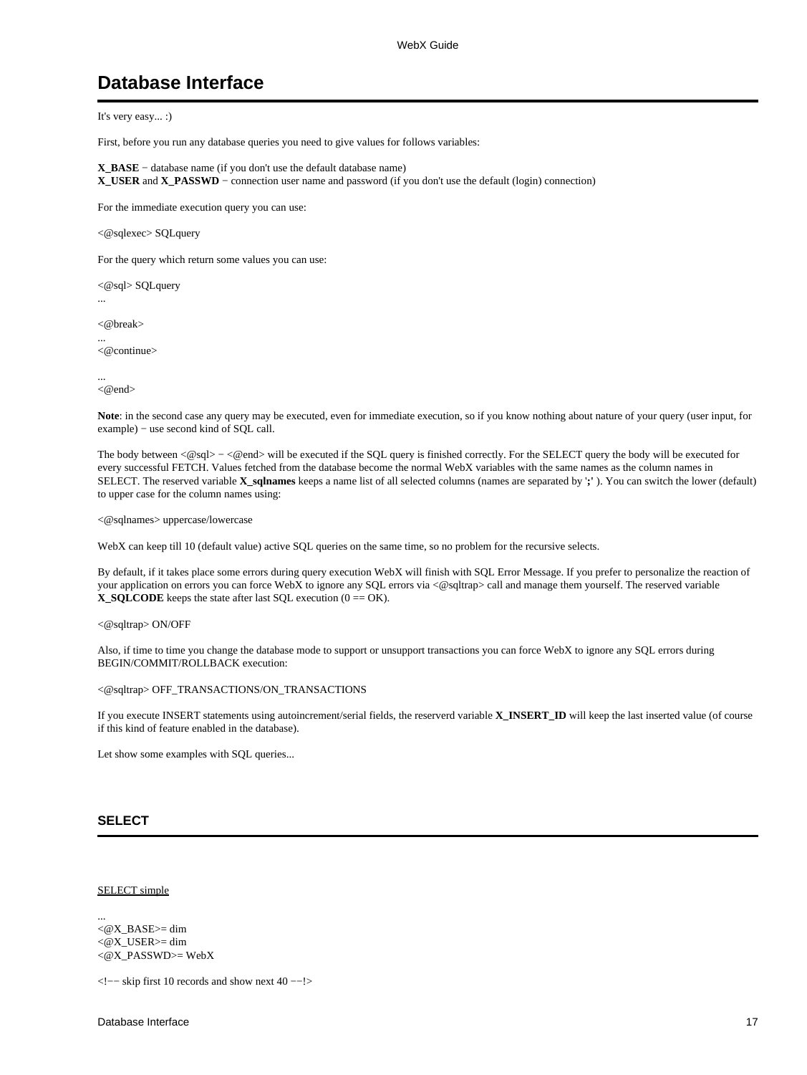# **Database Interface**

It's very easy... :)

First, before you run any database queries you need to give values for follows variables:

**X\_BASE** − database name (if you don't use the default database name) **X\_USER** and **X\_PASSWD** − connection user name and password (if you don't use the default (login) connection)

For the immediate execution query you can use:

<@sqlexec> SQLquery

For the query which return some values you can use:

<@sql> SQLquery

 $<$  @ hreak $>$ 

...

... <@continue>

... <@end>

**Note**: in the second case any query may be executed, even for immediate execution, so if you know nothing about nature of your query (user input, for example) – use second kind of SQL call.

The body between <@sql> – <@end> will be executed if the SQL query is finished correctly. For the SELECT query the body will be executed for every successful FETCH. Values fetched from the database become the normal WebX variables with the same names as the column names in SELECT. The reserved variable **X\_sqlnames** keeps a name list of all selected columns (names are separated by '**;'** ). You can switch the lower (default) to upper case for the column names using:

<@sqlnames> uppercase/lowercase

WebX can keep till 10 (default value) active SQL queries on the same time, so no problem for the recursive selects.

By default, if it takes place some errors during query execution WebX will finish with SQL Error Message. If you prefer to personalize the reaction of your application on errors you can force WebX to ignore any SQL errors via <@sqltrap> call and manage them yourself. The reserved variable **X\_SQLCODE** keeps the state after last SQL execution  $(0 = OK)$ .

<@sqltrap> ON/OFF

Also, if time to time you change the database mode to support or unsupport transactions you can force WebX to ignore any SQL errors during BEGIN/COMMIT/ROLLBACK execution:

#### <@sqltrap> OFF\_TRANSACTIONS/ON\_TRANSACTIONS

If you execute INSERT statements using autoincrement/serial fields, the reserverd variable **X\_INSERT\_ID** will keep the last inserted value (of course if this kind of feature enabled in the database).

Let show some examples with SQL queries...

### **SELECT**

SELECT simple

...  $\langle$  @X\_BASE $\rangle$ = dim <@X\_USER>= dim <@X\_PASSWD>= WebX

<!−− skip first 10 records and show next 40 −−!>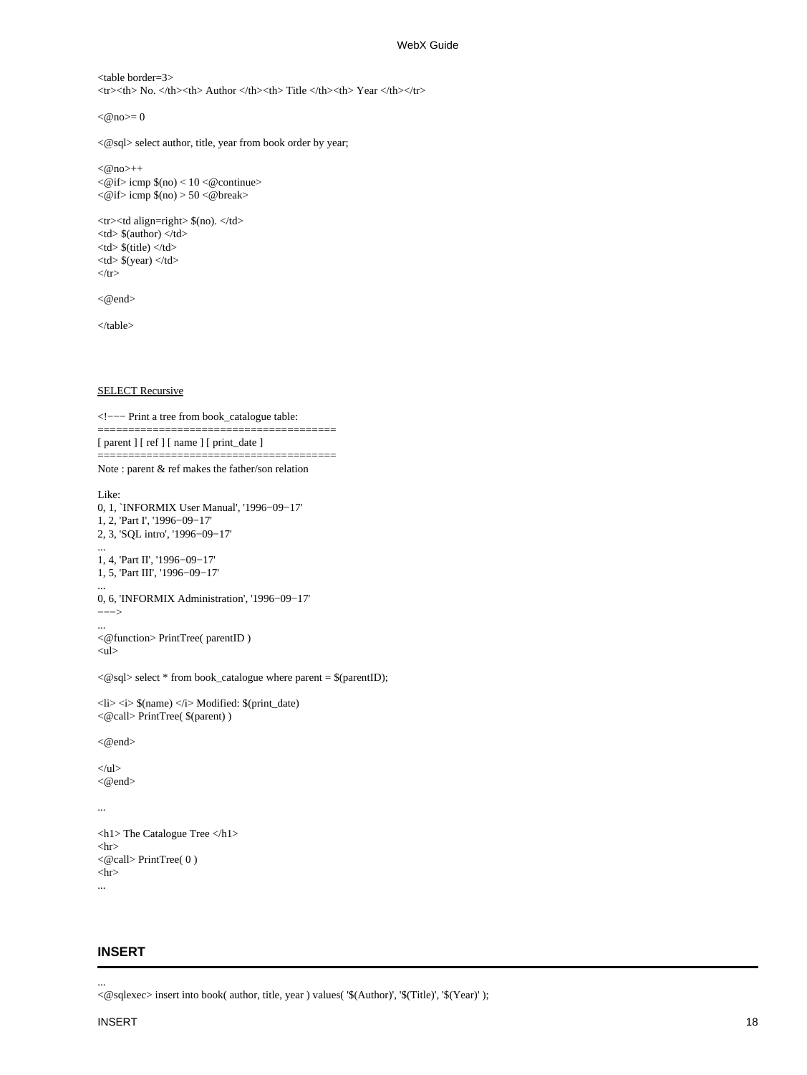```
<table border=3>
\langletr>\langleth> No. \langleth>\langleth> Author \langleth>\langleth>\langleth>\langleth>\langleth>\langletr>
```
 $<@no>=0$ 

```
<@sql> select author, title, year from book order by year;
```

```
<@no>++\langle \text{@if}\rangle icmp \eta (no) \langle 10 \rangle \langle \text{@continue}\rangle<@if>icmp $(no) > 50 <@break
```

```
<tr><td align=right> $(no). </td>
<br><td> $(author) <br><td><br><td>§(title) <br><td><br><td>$(year) < /td>\langle t
```
<@end>

</table>

**SELECT Recursive** 

```
<!−−− Print a tree from book_catalogue table:
```
======================================= [ parent ] [ ref ] [ name ] [ print\_date ]

Note : parent & ref makes the father/son relation

=======================================

```
Like:
0, 1, `INFORMIX User Manual', '1996−09−17'
1, 2, 'Part I', '1996−09−17'
2, 3, 'SQL intro', '1996−09−17'
...
1, 4, 'Part II', '1996−09−17'
1, 5, 'Part III', '1996−09−17'
...
0, 6, 'INFORMIX Administration', '1996−09−17'
−−−>
...
<@function> PrintTree( parentID )
<ul>\langle \textcircled{ } sql> select * from book_catalogue where parent = $(parentID);
\langleli>\langlei> \(name) \langlei> Modified: \gamma(print_date)
<@call> PrintTree( $(parent) )
<@end>
\langle u|<@end>
...
<h1> The Catalogue Tree<h1> 
\langlehr><@call> PrintTree( 0 )
\langlehr>...
```
## **INSERT**

<@sqlexec> insert into book( author, title, year ) values( '\$(Author)', '\$(Title)', '\$(Year)' );

...